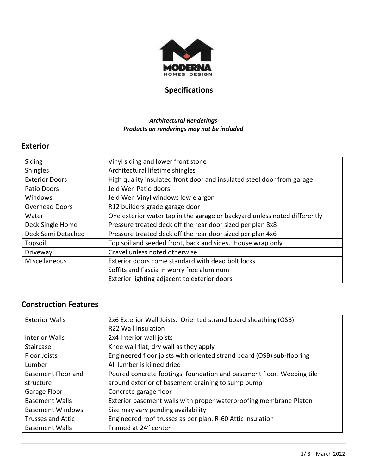

# **Specifications**

#### *-Architectural Renderings-Products on renderings may not be included*

#### **Exterior**

| Siding                | Vinyl siding and lower front stone                                        |
|-----------------------|---------------------------------------------------------------------------|
| <b>Shingles</b>       | Architectural lifetime shingles                                           |
| <b>Exterior Doors</b> | High quality insulated front door and insulated steel door from garage    |
| Patio Doors           | Jeld Wen Patio doors                                                      |
| Windows               | Jeld Wen Vinyl windows low e argon                                        |
| <b>Overhead Doors</b> | R12 builders grade garage door                                            |
| Water                 | One exterior water tap in the garage or backyard unless noted differently |
| Deck Single Home      | Pressure treated deck off the rear door sized per plan 8x8                |
| Deck Semi Detached    | Pressure treated deck off the rear door sized per plan 4x6                |
| Topsoil               | Top soil and seeded front, back and sides. House wrap only                |
| Driveway              | Gravel unless noted otherwise                                             |
| Miscellaneous         | Exterior doors come standard with dead bolt locks                         |
|                       | Soffits and Fascia in worry free aluminum                                 |
|                       | Exterior lighting adjacent to exterior doors                              |

### **Construction Features**

| <b>Exterior Walls</b>    | 2x6 Exterior Wall Joists. Oriented strand board sheathing (OSB)<br><b>R22 Wall Insulation</b> |
|--------------------------|-----------------------------------------------------------------------------------------------|
| <b>Interior Walls</b>    | 2x4 Interior wall joists                                                                      |
| <b>Staircase</b>         | Knee wall flat; dry wall as they apply                                                        |
| <b>Floor Joists</b>      | Engineered floor joists with oriented strand board (OSB) sub-flooring                         |
| Lumber                   | All lumber is kilned dried                                                                    |
| Basement Floor and       | Poured concrete footings, foundation and basement floor. Weeping tile                         |
| structure                | around exterior of basement draining to sump pump                                             |
| Garage Floor             | Concrete garage floor                                                                         |
| <b>Basement Walls</b>    | Exterior basement walls with proper waterproofing membrane Platon                             |
| <b>Basement Windows</b>  | Size may vary pending availability                                                            |
| <b>Trusses and Attic</b> | Engineered roof trusses as per plan. R-60 Attic insulation                                    |
| <b>Basement Walls</b>    | Framed at 24" center                                                                          |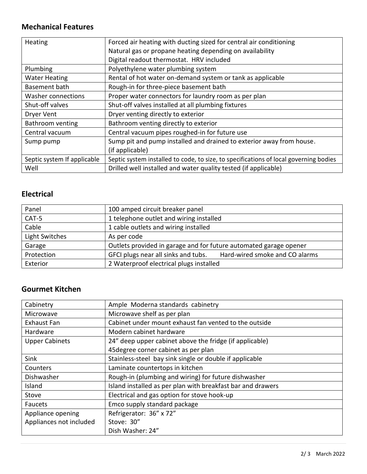### **Mechanical Features**

| Heating                     | Forced air heating with ducting sized for central air conditioning                    |
|-----------------------------|---------------------------------------------------------------------------------------|
|                             | Natural gas or propane heating depending on availability                              |
|                             | Digital readout thermostat. HRV included                                              |
| Plumbing                    | Polyethylene water plumbing system                                                    |
| <b>Water Heating</b>        | Rental of hot water on-demand system or tank as applicable                            |
| Basement bath               | Rough-in for three-piece basement bath                                                |
| <b>Washer connections</b>   | Proper water connectors for laundry room as per plan                                  |
| Shut-off valves             | Shut-off valves installed at all plumbing fixtures                                    |
| <b>Dryer Vent</b>           | Dryer venting directly to exterior                                                    |
| Bathroom venting            | Bathroom venting directly to exterior                                                 |
| Central vacuum              | Central vacuum pipes roughed-in for future use                                        |
| Sump pump                   | Sump pit and pump installed and drained to exterior away from house.                  |
|                             | (if applicable)                                                                       |
| Septic system If applicable | Septic system installed to code, to size, to specifications of local governing bodies |
| Well                        | Drilled well installed and water quality tested (if applicable)                       |

### **Electrical**

| Panel          | 100 amped circuit breaker panel                                       |
|----------------|-----------------------------------------------------------------------|
| CAT-5          | 1 telephone outlet and wiring installed                               |
| Cable          | 1 cable outlets and wiring installed                                  |
| Light Switches | As per code                                                           |
| Garage         | Outlets provided in garage and for future automated garage opener     |
| Protection     | Hard-wired smoke and CO alarms<br>GFCI plugs near all sinks and tubs. |
| Exterior       | 2 Waterproof electrical plugs installed                               |

### **Gourmet Kitchen**

| Cabinetry               | Ample Moderna standards cabinetry                           |
|-------------------------|-------------------------------------------------------------|
| Microwave               | Microwave shelf as per plan                                 |
| <b>Exhaust Fan</b>      | Cabinet under mount exhaust fan vented to the outside       |
| Hardware                | Modern cabinet hardware                                     |
| <b>Upper Cabinets</b>   | 24" deep upper cabinet above the fridge (if applicable)     |
|                         | 45 degree corner cabinet as per plan                        |
| Sink                    | Stainless-steel bay sink single or double if applicable     |
| Counters                | Laminate countertops in kitchen                             |
| Dishwasher              | Rough-in (plumbing and wiring) for future dishwasher        |
| Island                  | Island installed as per plan with breakfast bar and drawers |
| Stove                   | Electrical and gas option for stove hook-up                 |
| Faucets                 | Emco supply standard package                                |
| Appliance opening       | Refrigerator: 36" x 72"                                     |
| Appliances not included | Stove: 30"                                                  |
|                         | Dish Washer: 24"                                            |